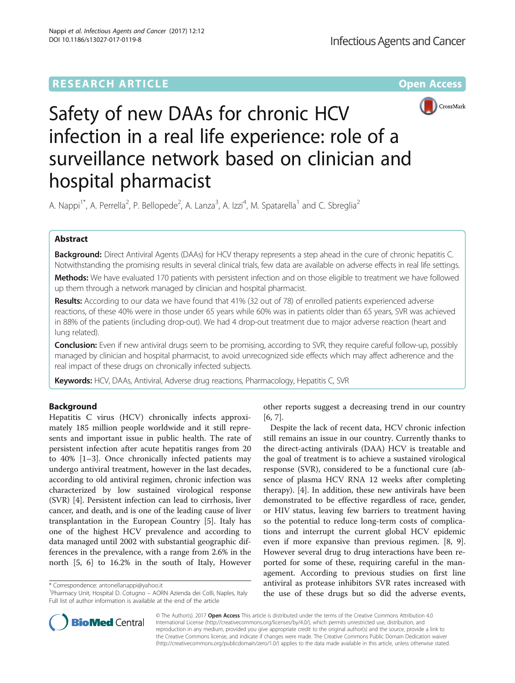# **RESEARCH ARTICLE External Structure Community Community Community Community Community Community Community Community**



# Safety of new DAAs for chronic HCV infection in a real life experience: role of a surveillance network based on clinician and hospital pharmacist

A. Nappi<sup>1\*</sup>, A. Perrella<sup>2</sup>, P. Bellopede<sup>2</sup>, A. Lanza<sup>3</sup>, A. Izzi<sup>4</sup>, M. Spatarella<sup>1</sup> and C. Sbreglia<sup>2</sup>

# Abstract

Background: Direct Antiviral Agents (DAAs) for HCV therapy represents a step ahead in the cure of chronic hepatitis C. Notwithstanding the promising results in several clinical trials, few data are available on adverse effects in real life settings.

Methods: We have evaluated 170 patients with persistent infection and on those eligible to treatment we have followed up them through a network managed by clinician and hospital pharmacist.

Results: According to our data we have found that 41% (32 out of 78) of enrolled patients experienced adverse reactions, of these 40% were in those under 65 years while 60% was in patients older than 65 years, SVR was achieved in 88% of the patients (including drop-out). We had 4 drop-out treatment due to major adverse reaction (heart and lung related).

**Conclusion:** Even if new antiviral drugs seem to be promising, according to SVR, they require careful follow-up, possibly managed by clinician and hospital pharmacist, to avoid unrecognized side effects which may affect adherence and the real impact of these drugs on chronically infected subjects.

Keywords: HCV, DAAs, Antiviral, Adverse drug reactions, Pharmacology, Hepatitis C, SVR

# Background

Hepatitis C virus (HCV) chronically infects approximately 185 million people worldwide and it still represents and important issue in public health. The rate of persistent infection after acute hepatitis ranges from 20 to 40% [\[1](#page-5-0)–[3\]](#page-5-0). Once chronically infected patients may undergo antiviral treatment, however in the last decades, according to old antiviral regimen, chronic infection was characterized by low sustained virological response (SVR) [\[4](#page-5-0)]. Persistent infection can lead to cirrhosis, liver cancer, and death, and is one of the leading cause of liver transplantation in the European Country [\[5](#page-5-0)]. Italy has one of the highest HCV prevalence and according to data managed until 2002 with substantial geographic differences in the prevalence, with a range from 2.6% in the north [[5, 6](#page-5-0)] to 16.2% in the south of Italy, However

\* Correspondence: [antonellanappi@yahoo.it](mailto:antonellanappi@yahoo.it) <sup>1</sup>

<sup>1</sup> Pharmacy Unit, Hospital D. Cotugno – AORN Azienda dei Colli, Naples, Italy Full list of author information is available at the end of the article

other reports suggest a decreasing trend in our country [[6, 7\]](#page-5-0).

Despite the lack of recent data, HCV chronic infection still remains an issue in our country. Currently thanks to the direct-acting antivirals (DAA) HCV is treatable and the goal of treatment is to achieve a sustained virological response (SVR), considered to be a functional cure (absence of plasma HCV RNA 12 weeks after completing therapy). [\[4](#page-5-0)]. In addition, these new antivirals have been demonstrated to be effective regardless of race, gender, or HIV status, leaving few barriers to treatment having so the potential to reduce long-term costs of complications and interrupt the current global HCV epidemic even if more expansive than previous regimen. [\[8](#page-5-0), [9](#page-5-0)]. However several drug to drug interactions have been reported for some of these, requiring careful in the management. According to previous studies on first line antiviral as protease inhibitors SVR rates increased with the use of these drugs but so did the adverse events,



© The Author(s). 2017 Open Access This article is distributed under the terms of the Creative Commons Attribution 4.0 International License [\(http://creativecommons.org/licenses/by/4.0/](http://creativecommons.org/licenses/by/4.0/)), which permits unrestricted use, distribution, and reproduction in any medium, provided you give appropriate credit to the original author(s) and the source, provide a link to the Creative Commons license, and indicate if changes were made. The Creative Commons Public Domain Dedication waiver [\(http://creativecommons.org/publicdomain/zero/1.0/](http://creativecommons.org/publicdomain/zero/1.0/)) applies to the data made available in this article, unless otherwise stated.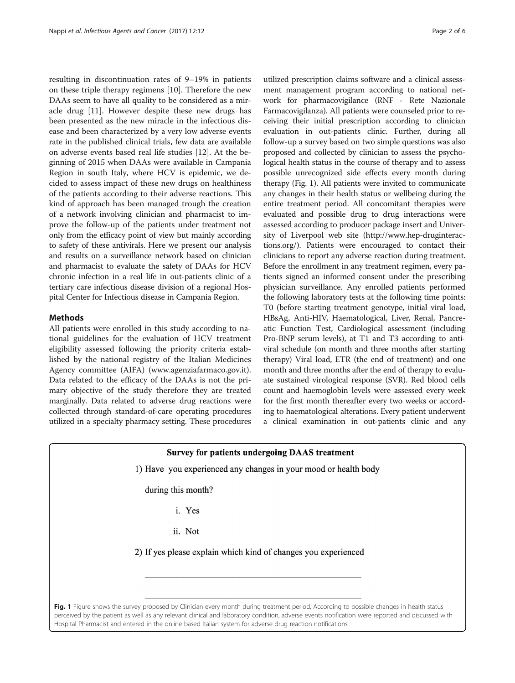resulting in discontinuation rates of 9–19% in patients on these triple therapy regimens [\[10](#page-5-0)]. Therefore the new DAAs seem to have all quality to be considered as a miracle drug [[11\]](#page-5-0). However despite these new drugs has been presented as the new miracle in the infectious disease and been characterized by a very low adverse events rate in the published clinical trials, few data are available on adverse events based real life studies [\[12\]](#page-5-0). At the beginning of 2015 when DAAs were available in Campania Region in south Italy, where HCV is epidemic, we decided to assess impact of these new drugs on healthiness of the patients according to their adverse reactions. This kind of approach has been managed trough the creation of a network involving clinician and pharmacist to improve the follow-up of the patients under treatment not only from the efficacy point of view but mainly according to safety of these antivirals. Here we present our analysis and results on a surveillance network based on clinician and pharmacist to evaluate the safety of DAAs for HCV chronic infection in a real life in out-patients clinic of a tertiary care infectious disease division of a regional Hospital Center for Infectious disease in Campania Region.

# **Methods**

All patients were enrolled in this study according to national guidelines for the evaluation of HCV treatment eligibility assessed following the priority criteria established by the national registry of the Italian Medicines Agency committee (AIFA) ([www.agenziafarmaco.gov.it](http://www.agenziafarmaco.gov.it/)). Data related to the efficacy of the DAAs is not the primary objective of the study therefore they are treated marginally. Data related to adverse drug reactions were collected through standard-of-care operating procedures utilized in a specialty pharmacy setting. These procedures

utilized prescription claims software and a clinical assessment management program according to national network for pharmacovigilance (RNF - Rete Nazionale Farmacovigilanza). All patients were counseled prior to receiving their initial prescription according to clinician evaluation in out-patients clinic. Further, during all follow-up a survey based on two simple questions was also proposed and collected by clinician to assess the psychological health status in the course of therapy and to assess possible unrecognized side effects every month during therapy (Fig. 1). All patients were invited to communicate any changes in their health status or wellbeing during the entire treatment period. All concomitant therapies were evaluated and possible drug to drug interactions were assessed according to producer package insert and University of Liverpool web site [\(http://www.hep-druginterac](http://www.hep-druginteractions.org/)[tions.org/](http://www.hep-druginteractions.org/)). Patients were encouraged to contact their clinicians to report any adverse reaction during treatment. Before the enrollment in any treatment regimen, every patients signed an informed consent under the prescribing physician surveillance. Any enrolled patients performed the following laboratory tests at the following time points: T0 (before starting treatment genotype, initial viral load, HBsAg, Anti-HIV, Haematological, Liver, Renal, Pancreatic Function Test, Cardiological assessment (including Pro-BNP serum levels), at T1 and T3 according to antiviral schedule (on month and three months after starting therapy) Viral load, ETR (the end of treatment) and one month and three months after the end of therapy to evaluate sustained virological response (SVR). Red blood cells count and haemoglobin levels were assessed every week for the first month thereafter every two weeks or according to haematological alterations. Every patient underwent a clinical examination in out-patients clinic and any

## **Survey for patients undergoing DAAS treatment**

1) Have you experienced any changes in your mood or health body

during this month?

- i. Yes
- ii. Not

2) If yes please explain which kind of changes you experienced

Fig. 1 Figure shows the survey proposed by Clinician every month during treatment period. According to possible changes in health status perceived by the patient as well as any relevant clinical and laboratory condition, adverse events notification were reported and discussed with Hospital Pharmacist and entered in the online based Italian system for adverse drug reaction notifications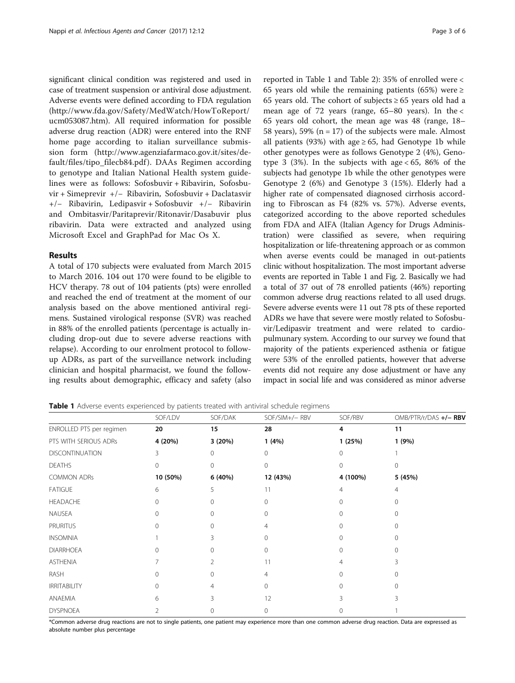significant clinical condition was registered and used in case of treatment suspension or antiviral dose adjustment. Adverse events were defined according to FDA regulation ([http://www.fda.gov/Safety/MedWatch/HowToReport/](http://www.fda.gov/Safety/MedWatch/HowToReport/ucm053087.htm) [ucm053087.htm](http://www.fda.gov/Safety/MedWatch/HowToReport/ucm053087.htm)). All required information for possible adverse drug reaction (ADR) were entered into the RNF home page according to italian surveillance submission form [\(http://www.agenziafarmaco.gov.it/sites/de](http://www.agenziafarmaco.gov.it/sites/default/files/tipo_filecb84.pdf)[fault/files/tipo\\_filecb84.pdf](http://www.agenziafarmaco.gov.it/sites/default/files/tipo_filecb84.pdf) ). DAAs Regimen according to genotype and Italian National Health system guidelines were as follows: Sofosbuvir + Ribavirin, Sofosbuvir + Simeprevir +/− Ribavirin, Sofosbuvir + Daclatasvir +/− Ribavirin, Ledipasvir + Sofosbuvir +/− Ribavirin and Ombitasvir/Paritaprevir/Ritonavir/Dasabuvir plus ribavirin. Data were extracted and analyzed using Microsoft Excel and GraphPad for Mac Os X.

## Results

A total of 170 subjects were evaluated from March 2015 to March 2016. 104 out 170 were found to be eligible to HCV therapy. 78 out of 104 patients (pts) were enrolled and reached the end of treatment at the moment of our analysis based on the above mentioned antiviral regimens. Sustained virological response (SVR) was reached in 88% of the enrolled patients (percentage is actually including drop-out due to severe adverse reactions with relapse). According to our enrolment protocol to followup ADRs, as part of the surveillance network including clinician and hospital pharmacist, we found the following results about demographic, efficacy and safety (also reported in Table 1 and Table [2\)](#page-3-0): 35% of enrolled were < 65 years old while the remaining patients (65%) were  $\ge$ 65 years old. The cohort of subjects  $\geq$  65 years old had a mean age of 72 years (range,  $65-80$  years). In the  $\lt$ 65 years old cohort, the mean age was 48 (range, 18– 58 years), 59% ( $n = 17$ ) of the subjects were male. Almost all patients (93%) with age  $\geq 65$ , had Genotype 1b while other genotypes were as follows Genotype 2 (4%), Genotype 3 (3%). In the subjects with age  $< 65$ , 86% of the subjects had genotype 1b while the other genotypes were Genotype 2 (6%) and Genotype 3 (15%). Elderly had a higher rate of compensated diagnosed cirrhosis according to Fibroscan as F4 (82% vs. 57%). Adverse events, categorized according to the above reported schedules from FDA and AIFA (Italian Agency for Drugs Administration) were classified as severe, when requiring hospitalization or life-threatening approach or as common when averse events could be managed in out-patients clinic without hospitalization. The most important adverse events are reported in Table 1 and Fig. [2.](#page-3-0) Basically we had a total of 37 out of 78 enrolled patients (46%) reporting common adverse drug reactions related to all used drugs. Severe adverse events were 11 out 78 pts of these reported ADRs we have that severe were mostly related to Sofosbuvir/Ledipasvir treatment and were related to cardiopulmunary system. According to our survey we found that majority of the patients experienced asthenia or fatigue were 53% of the enrolled patients, however that adverse events did not require any dose adjustment or have any impact in social life and was considered as minor adverse

Table 1 Adverse events experienced by patients treated with antiviral schedule regimens

|                          | SOF/LDV  | SOF/DAK  | SOF/SIM+/- RBV | SOF/RBV     | OMB/PTR/r/DAS +/- RBV |
|--------------------------|----------|----------|----------------|-------------|-----------------------|
| ENROLLED PTS per regimen | 20       | 15       | 28             | 4           | 11                    |
| PTS WITH SERIOUS ADRs    | 4 (20%)  | 3 (20%)  | 1(4%)          | 1(25%)      | 1(9%)                 |
| <b>DISCONTINUATION</b>   | 3        | $\Omega$ | $\cap$         | $\Omega$    |                       |
| <b>DEATHS</b>            | $\Omega$ | 0        | $\Omega$       | $\Omega$    | $\Omega$              |
| <b>COMMON ADRs</b>       | 10 (50%) | 6 (40%)  | 12 (43%)       | 4 (100%)    | 5 (45%)               |
| <b>FATIGUE</b>           | 6        | 5.       | 11             | 4           | 4                     |
| <b>HEADACHE</b>          | $\cap$   | 0        |                | 0           |                       |
| NAUSEA                   | 0        | $\Omega$ | ∩              | ∩           | 0                     |
| <b>PRURITUS</b>          | $\Omega$ | $\Omega$ | 4              | 0           | 0                     |
| <b>INSOMNIA</b>          |          | 3        | ∩              | $\Omega$    | Ω                     |
| <b>DIARRHOEA</b>         |          | ∩        |                | 0           |                       |
| <b>ASTHENIA</b>          |          |          | 11             | 4           |                       |
| RASH                     | $\Omega$ | 0        | 4              | $\mathbf 0$ | $\Omega$              |
| <b>IRRITABILITY</b>      | $\Omega$ | 4        | $\Omega$       | $\Omega$    | Λ                     |
| ANAEMIA                  | 6        | ς        | 12             |             |                       |
| <b>DYSPNOEA</b>          |          | 0        | 0              | 0           |                       |

\*Common adverse drug reactions are not to single patients, one patient may experience more than one common adverse drug reaction. Data are expressed as absolute number plus percentage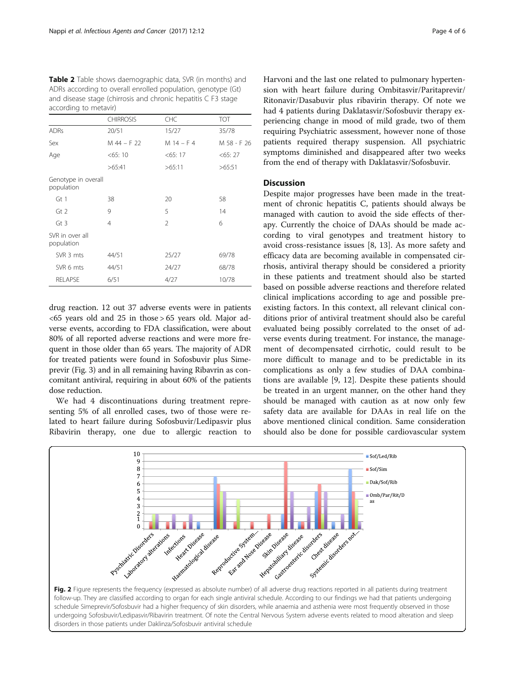<span id="page-3-0"></span>Table 2 Table shows daemographic data, SVR (in months) and ADRs according to overall enrolled population, genotype (Gt) and disease stage (chirrosis and chronic hepatitis C F3 stage according to metavir)

|                                   | <b>CHIRROSIS</b> | CHC            | <b>TOT</b>  |
|-----------------------------------|------------------|----------------|-------------|
| <b>ADRs</b>                       | 20/51            | 15/27          | 35/78       |
| Sex                               | M 44 - F 22      | $M$ 14 – F 4   | M 58 - F 26 |
| Age                               | $<$ 65: 10       | $<$ 65: 17     | $<$ 65: 27  |
|                                   | >65:41           | >65:11         | >65:51      |
| Genotype in overall<br>population |                  |                |             |
| Gt1                               | 38               | 20             | 58          |
| Gt2                               | 9                | 5              | 14          |
| $Gt$ 3                            | 4                | $\mathfrak{D}$ | 6           |
| SVR in over all<br>population     |                  |                |             |
| SVR 3 mts                         | 44/51            | 25/27          | 69/78       |
| SVR 6 mts                         | 44/51            | 24/27          | 68/78       |
| <b>RELAPSE</b>                    | 6/51             | 4/27           | 10/78       |

drug reaction. 12 out 37 adverse events were in patients  $<65$  years old and 25 in those > 65 years old. Major adverse events, according to FDA classification, were about 80% of all reported adverse reactions and were more frequent in those older than 65 years. The majority of ADR for treated patients were found in Sofosbuvir plus Simeprevir (Fig. [3\)](#page-4-0) and in all remaining having Ribavrin as concomitant antiviral, requiring in about 60% of the patients dose reduction.

We had 4 discontinuations during treatment representing 5% of all enrolled cases, two of those were related to heart failure during Sofosbuvir/Ledipasvir plus Ribavirin therapy, one due to allergic reaction to Harvoni and the last one related to pulmonary hypertension with heart failure during Ombitasvir/Paritaprevir/ Ritonavir/Dasabuvir plus ribavirin therapy. Of note we had 4 patients during Daklatasvir/Sofosbuvir therapy experiencing change in mood of mild grade, two of them requiring Psychiatric assessment, however none of those patients required therapy suspension. All psychiatric symptoms diminished and disappeared after two weeks from the end of therapy with Daklatasvir/Sofosbuvir.

# **Discussion**

Despite major progresses have been made in the treatment of chronic hepatitis C, patients should always be managed with caution to avoid the side effects of therapy. Currently the choice of DAAs should be made according to viral genotypes and treatment history to avoid cross-resistance issues [\[8](#page-5-0), [13\]](#page-5-0). As more safety and efficacy data are becoming available in compensated cirrhosis, antiviral therapy should be considered a priority in these patients and treatment should also be started based on possible adverse reactions and therefore related clinical implications according to age and possible preexisting factors. In this context, all relevant clinical conditions prior of antiviral treatment should also be careful evaluated being possibly correlated to the onset of adverse events during treatment. For instance, the management of decompensated cirrhotic, could result to be more difficult to manage and to be predictable in its complications as only a few studies of DAA combinations are available [\[9](#page-5-0), [12](#page-5-0)]. Despite these patients should be treated in an urgent manner, on the other hand they should be managed with caution as at now only few safety data are available for DAAs in real life on the above mentioned clinical condition. Same consideration should also be done for possible cardiovascular system

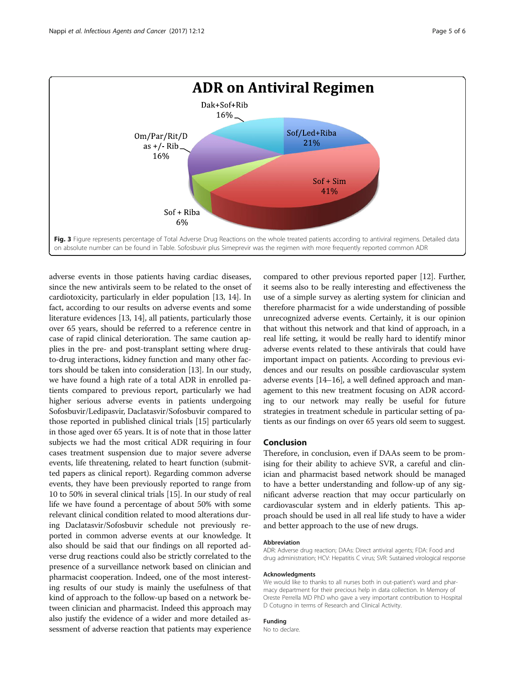<span id="page-4-0"></span>

adverse events in those patients having cardiac diseases, since the new antivirals seem to be related to the onset of cardiotoxicity, particularly in elder population [[13](#page-5-0), [14](#page-5-0)]. In fact, according to our results on adverse events and some literature evidences [\[13, 14](#page-5-0)], all patients, particularly those over 65 years, should be referred to a reference centre in case of rapid clinical deterioration. The same caution applies in the pre- and post-transplant setting where drugto-drug interactions, kidney function and many other factors should be taken into consideration [[13\]](#page-5-0). In our study, we have found a high rate of a total ADR in enrolled patients compared to previous report, particularly we had higher serious adverse events in patients undergoing Sofosbuvir/Ledipasvir, Daclatasvir/Sofosbuvir compared to those reported in published clinical trials [\[15\]](#page-5-0) particularly in those aged over 65 years. It is of note that in those latter subjects we had the most critical ADR requiring in four cases treatment suspension due to major severe adverse events, life threatening, related to heart function (submitted papers as clinical report). Regarding common adverse events, they have been previously reported to range from 10 to 50% in several clinical trials [[15](#page-5-0)]. In our study of real life we have found a percentage of about 50% with some relevant clinical condition related to mood alterations during Daclatasvir/Sofosbuvir schedule not previously reported in common adverse events at our knowledge. It also should be said that our findings on all reported adverse drug reactions could also be strictly correlated to the presence of a surveillance network based on clinician and pharmacist cooperation. Indeed, one of the most interesting results of our study is mainly the usefulness of that kind of approach to the follow-up based on a network between clinician and pharmacist. Indeed this approach may also justify the evidence of a wider and more detailed assessment of adverse reaction that patients may experience

compared to other previous reported paper [[12](#page-5-0)]. Further, it seems also to be really interesting and effectiveness the use of a simple survey as alerting system for clinician and therefore pharmacist for a wide understanding of possible unrecognized adverse events. Certainly, it is our opinion that without this network and that kind of approach, in a real life setting, it would be really hard to identify minor adverse events related to these antivirals that could have important impact on patients. According to previous evidences and our results on possible cardiovascular system adverse events [\[14](#page-5-0)–[16](#page-5-0)], a well defined approach and management to this new treatment focusing on ADR according to our network may really be useful for future strategies in treatment schedule in particular setting of patients as our findings on over 65 years old seem to suggest.

# Conclusion

Therefore, in conclusion, even if DAAs seem to be promising for their ability to achieve SVR, a careful and clinician and pharmacist based network should be managed to have a better understanding and follow-up of any significant adverse reaction that may occur particularly on cardiovascular system and in elderly patients. This approach should be used in all real life study to have a wider and better approach to the use of new drugs.

#### Abbreviation

ADR: Adverse drug reaction; DAAs: Direct antiviral agents; FDA: Food and drug administration; HCV: Hepatitis C virus; SVR: Sustained virological response

#### Acknowledgments

We would like to thanks to all nurses both in out-patient's ward and pharmacy department for their precious help in data collection. In Memory of Oreste Perrella MD PhD who gave a very important contribution to Hospital D Cotugno in terms of Research and Clinical Activity.

# Funding

No to declare.